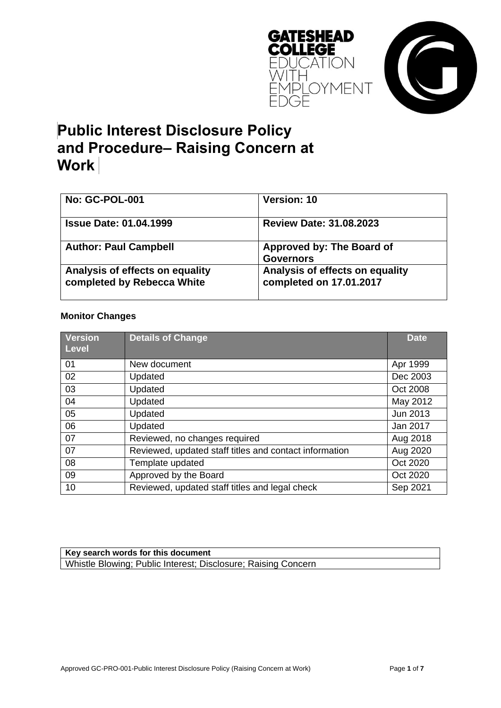



# **Public Interest Disclosure Policy and Procedure– Raising Concern at Work**

| <b>No: GC-POL-001</b>                                         | <b>Version: 10</b>                                         |  |
|---------------------------------------------------------------|------------------------------------------------------------|--|
| <b>Issue Date: 01.04.1999</b>                                 | <b>Review Date: 31.08.2023</b>                             |  |
| <b>Author: Paul Campbell</b>                                  | Approved by: The Board of<br><b>Governors</b>              |  |
| Analysis of effects on equality<br>completed by Rebecca White | Analysis of effects on equality<br>completed on 17.01.2017 |  |

#### **Monitor Changes**

| <b>Version</b><br><b>Level</b> | <b>Details of Change</b>                               | <b>Date</b> |
|--------------------------------|--------------------------------------------------------|-------------|
| 01                             | New document                                           | Apr 1999    |
| 02                             | Updated                                                | Dec 2003    |
| 03                             | Updated                                                | Oct 2008    |
| 04                             | Updated                                                | May 2012    |
| 05                             | Updated                                                | Jun 2013    |
| 06                             | Updated                                                | Jan 2017    |
| 07                             | Reviewed, no changes required                          | Aug 2018    |
| 07                             | Reviewed, updated staff titles and contact information | Aug 2020    |
| 08                             | Template updated                                       | Oct 2020    |
| 09                             | Approved by the Board                                  | Oct 2020    |
| 10                             | Reviewed, updated staff titles and legal check         | Sep 2021    |

#### **Key search words for this document** Whistle Blowing; Public Interest; Disclosure; Raising Concern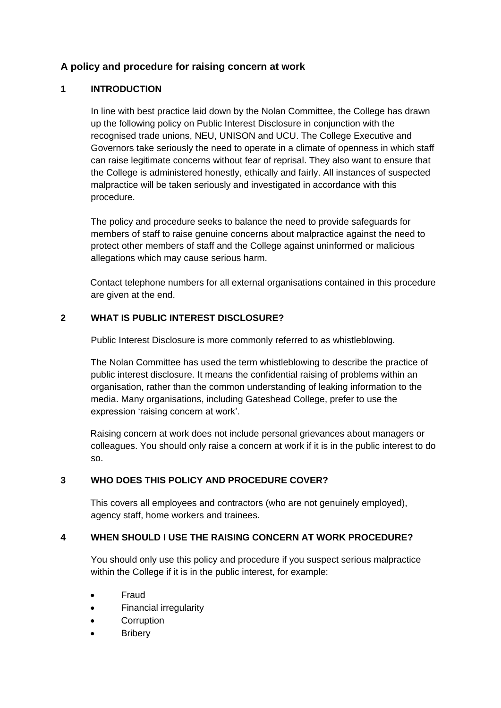# **A policy and procedure for raising concern at work**

# **1 INTRODUCTION**

In line with best practice laid down by the Nolan Committee, the College has drawn up the following policy on Public Interest Disclosure in conjunction with the recognised trade unions, NEU, UNISON and UCU. The College Executive and Governors take seriously the need to operate in a climate of openness in which staff can raise legitimate concerns without fear of reprisal. They also want to ensure that the College is administered honestly, ethically and fairly. All instances of suspected malpractice will be taken seriously and investigated in accordance with this procedure.

The policy and procedure seeks to balance the need to provide safeguards for members of staff to raise genuine concerns about malpractice against the need to protect other members of staff and the College against uninformed or malicious allegations which may cause serious harm.

Contact telephone numbers for all external organisations contained in this procedure are given at the end.

# **2 WHAT IS PUBLIC INTEREST DISCLOSURE?**

Public Interest Disclosure is more commonly referred to as whistleblowing.

The Nolan Committee has used the term whistleblowing to describe the practice of public interest disclosure. It means the confidential raising of problems within an organisation, rather than the common understanding of leaking information to the media. Many organisations, including Gateshead College, prefer to use the expression 'raising concern at work'.

Raising concern at work does not include personal grievances about managers or colleagues. You should only raise a concern at work if it is in the public interest to do so.

# **3 WHO DOES THIS POLICY AND PROCEDURE COVER?**

This covers all employees and contractors (who are not genuinely employed), agency staff, home workers and trainees.

# **4 WHEN SHOULD I USE THE RAISING CONCERN AT WORK PROCEDURE?**

You should only use this policy and procedure if you suspect serious malpractice within the College if it is in the public interest, for example:

- Fraud
- Financial irregularity
- **Corruption**
- **Bribery**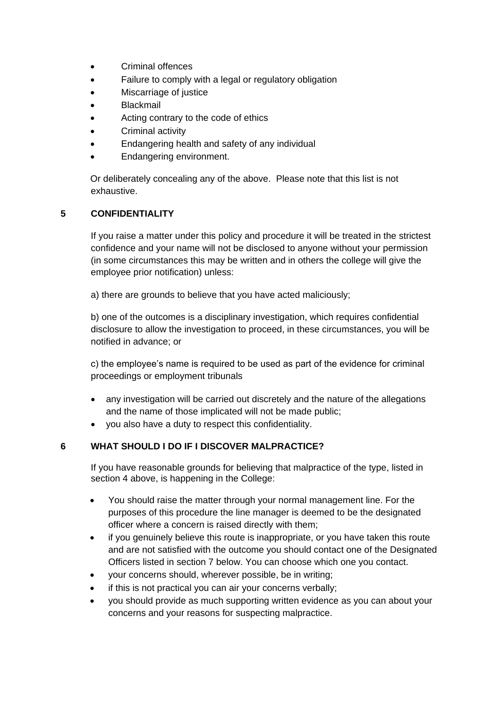- Criminal offences
- Failure to comply with a legal or regulatory obligation
- Miscarriage of justice
- Blackmail
- Acting contrary to the code of ethics
- Criminal activity
- Endangering health and safety of any individual
- Endangering environment.

Or deliberately concealing any of the above. Please note that this list is not exhaustive.

## **5 CONFIDENTIALITY**

If you raise a matter under this policy and procedure it will be treated in the strictest confidence and your name will not be disclosed to anyone without your permission (in some circumstances this may be written and in others the college will give the employee prior notification) unless:

a) there are grounds to believe that you have acted maliciously;

b) one of the outcomes is a disciplinary investigation, which requires confidential disclosure to allow the investigation to proceed, in these circumstances, you will be notified in advance; or

c) the employee's name is required to be used as part of the evidence for criminal proceedings or employment tribunals

- any investigation will be carried out discretely and the nature of the allegations and the name of those implicated will not be made public;
- you also have a duty to respect this confidentiality.

## **6 WHAT SHOULD I DO IF I DISCOVER MALPRACTICE?**

If you have reasonable grounds for believing that malpractice of the type, listed in section 4 above, is happening in the College:

- You should raise the matter through your normal management line. For the purposes of this procedure the line manager is deemed to be the designated officer where a concern is raised directly with them;
- if you genuinely believe this route is inappropriate, or you have taken this route and are not satisfied with the outcome you should contact one of the Designated Officers listed in section 7 below. You can choose which one you contact.
- your concerns should, wherever possible, be in writing;
- if this is not practical you can air your concerns verbally;
- you should provide as much supporting written evidence as you can about your concerns and your reasons for suspecting malpractice.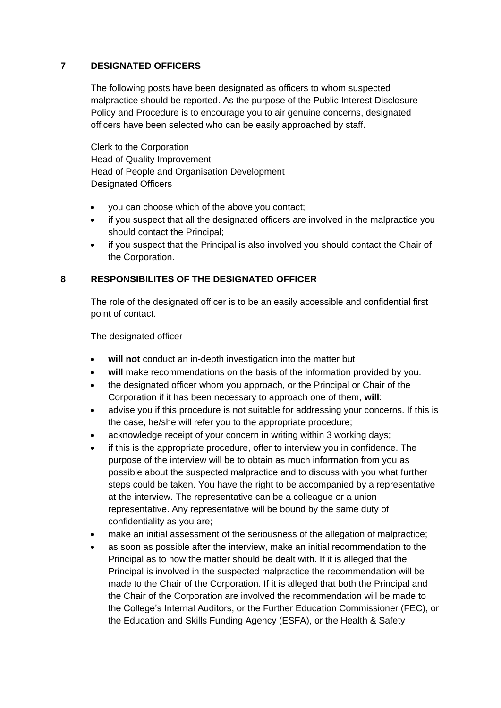## **7 DESIGNATED OFFICERS**

The following posts have been designated as officers to whom suspected malpractice should be reported. As the purpose of the Public Interest Disclosure Policy and Procedure is to encourage you to air genuine concerns, designated officers have been selected who can be easily approached by staff.

Clerk to the Corporation Head of Quality Improvement Head of People and Organisation Development Designated Officers

- you can choose which of the above you contact;
- if you suspect that all the designated officers are involved in the malpractice you should contact the Principal;
- if you suspect that the Principal is also involved you should contact the Chair of the Corporation.

# **8 RESPONSIBILITES OF THE DESIGNATED OFFICER**

The role of the designated officer is to be an easily accessible and confidential first point of contact.

The designated officer

- **will not** conduct an in-depth investigation into the matter but
- **will** make recommendations on the basis of the information provided by you.
- the designated officer whom you approach, or the Principal or Chair of the Corporation if it has been necessary to approach one of them, **will**:
- advise you if this procedure is not suitable for addressing your concerns. If this is the case, he/she will refer you to the appropriate procedure;
- acknowledge receipt of your concern in writing within 3 working days;
- if this is the appropriate procedure, offer to interview you in confidence. The purpose of the interview will be to obtain as much information from you as possible about the suspected malpractice and to discuss with you what further steps could be taken. You have the right to be accompanied by a representative at the interview. The representative can be a colleague or a union representative. Any representative will be bound by the same duty of confidentiality as you are;
- make an initial assessment of the seriousness of the allegation of malpractice;
- as soon as possible after the interview, make an initial recommendation to the Principal as to how the matter should be dealt with. If it is alleged that the Principal is involved in the suspected malpractice the recommendation will be made to the Chair of the Corporation. If it is alleged that both the Principal and the Chair of the Corporation are involved the recommendation will be made to the College's Internal Auditors, or the Further Education Commissioner (FEC), or the Education and Skills Funding Agency (ESFA), or the Health & Safety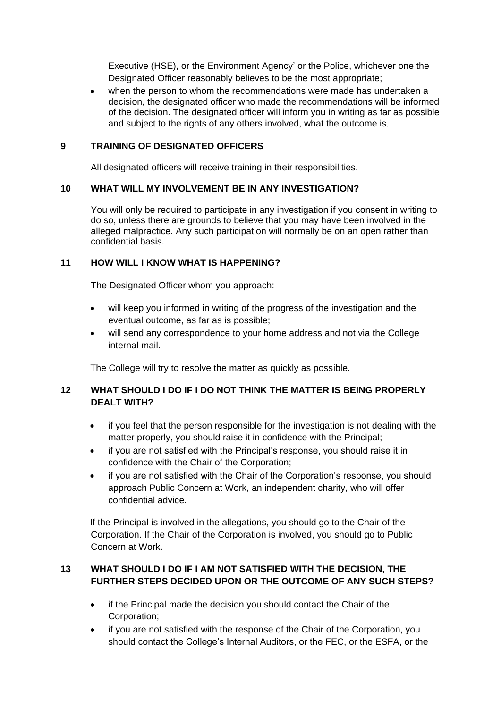Executive (HSE), or the Environment Agency' or the Police, whichever one the Designated Officer reasonably believes to be the most appropriate;

 when the person to whom the recommendations were made has undertaken a decision, the designated officer who made the recommendations will be informed of the decision. The designated officer will inform you in writing as far as possible and subject to the rights of any others involved, what the outcome is.

## **9 TRAINING OF DESIGNATED OFFICERS**

All designated officers will receive training in their responsibilities.

## **10 WHAT WILL MY INVOLVEMENT BE IN ANY INVESTIGATION?**

You will only be required to participate in any investigation if you consent in writing to do so, unless there are grounds to believe that you may have been involved in the alleged malpractice. Any such participation will normally be on an open rather than confidential basis.

## **11 HOW WILL I KNOW WHAT IS HAPPENING?**

The Designated Officer whom you approach:

- will keep you informed in writing of the progress of the investigation and the eventual outcome, as far as is possible;
- will send any correspondence to your home address and not via the College internal mail.

The College will try to resolve the matter as quickly as possible.

# **12 WHAT SHOULD I DO IF I DO NOT THINK THE MATTER IS BEING PROPERLY DEALT WITH?**

- if you feel that the person responsible for the investigation is not dealing with the matter properly, you should raise it in confidence with the Principal;
- if you are not satisfied with the Principal's response, you should raise it in confidence with the Chair of the Corporation;
- if you are not satisfied with the Chair of the Corporation's response, you should approach Public Concern at Work, an independent charity, who will offer confidential advice.

If the Principal is involved in the allegations, you should go to the Chair of the Corporation. If the Chair of the Corporation is involved, you should go to Public Concern at Work.

# **13 WHAT SHOULD I DO IF I AM NOT SATISFIED WITH THE DECISION, THE FURTHER STEPS DECIDED UPON OR THE OUTCOME OF ANY SUCH STEPS?**

- if the Principal made the decision you should contact the Chair of the Corporation;
- if you are not satisfied with the response of the Chair of the Corporation, you should contact the College's Internal Auditors, or the FEC, or the ESFA, or the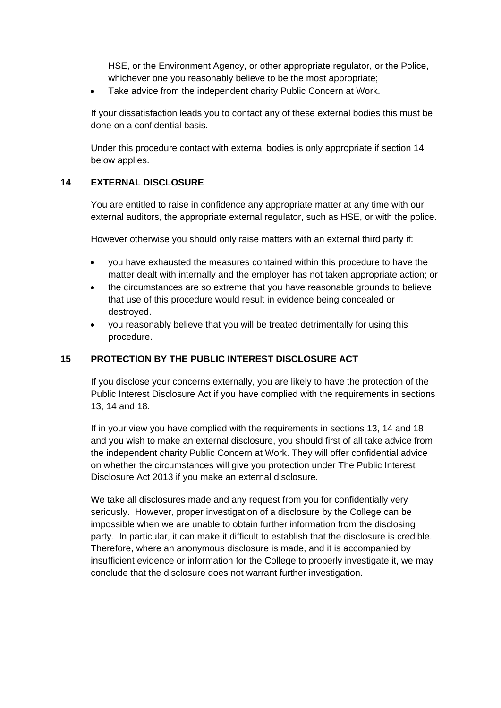HSE, or the Environment Agency, or other appropriate regulator, or the Police, whichever one you reasonably believe to be the most appropriate;

• Take advice from the independent charity Public Concern at Work.

If your dissatisfaction leads you to contact any of these external bodies this must be done on a confidential basis.

Under this procedure contact with external bodies is only appropriate if section 14 below applies.

# **14 EXTERNAL DISCLOSURE**

You are entitled to raise in confidence any appropriate matter at any time with our external auditors, the appropriate external regulator, such as HSE, or with the police.

However otherwise you should only raise matters with an external third party if:

- you have exhausted the measures contained within this procedure to have the matter dealt with internally and the employer has not taken appropriate action; or
- the circumstances are so extreme that you have reasonable grounds to believe that use of this procedure would result in evidence being concealed or destroyed.
- you reasonably believe that you will be treated detrimentally for using this procedure.

## **15 PROTECTION BY THE PUBLIC INTEREST DISCLOSURE ACT**

If you disclose your concerns externally, you are likely to have the protection of the Public Interest Disclosure Act if you have complied with the requirements in sections 13, 14 and 18.

If in your view you have complied with the requirements in sections 13, 14 and 18 and you wish to make an external disclosure, you should first of all take advice from the independent charity Public Concern at Work. They will offer confidential advice on whether the circumstances will give you protection under The Public Interest Disclosure Act 2013 if you make an external disclosure.

We take all disclosures made and any request from you for confidentially very seriously. However, proper investigation of a disclosure by the College can be impossible when we are unable to obtain further information from the disclosing party. In particular, it can make it difficult to establish that the disclosure is credible. Therefore, where an anonymous disclosure is made, and it is accompanied by insufficient evidence or information for the College to properly investigate it, we may conclude that the disclosure does not warrant further investigation.